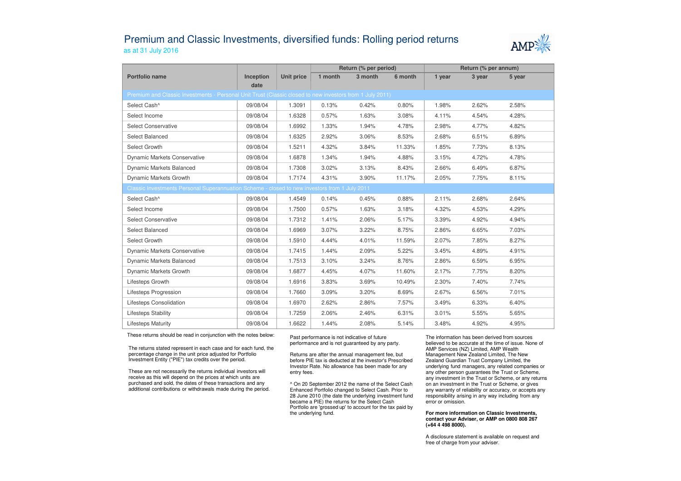## Premium and Classic Investments, diversified funds: Rolling period returnsas at 31 July 2016



|                                                                                                          |                   |                   | Return (% per period) |         |         | Return (% per annum) |        |        |  |  |
|----------------------------------------------------------------------------------------------------------|-------------------|-------------------|-----------------------|---------|---------|----------------------|--------|--------|--|--|
| Portfolio name                                                                                           | Inception<br>date | <b>Unit price</b> | 1 month               | 3 month | 6 month | 1 year               | 3 year | 5 year |  |  |
| Premium and Classic Investments - Personal Unit Trust (Classic closed to new investors from 1 July 2011) |                   |                   |                       |         |         |                      |        |        |  |  |
| Select Cash <sup>^</sup>                                                                                 | 09/08/04          | 1.3091            | 0.13%                 | 0.42%   | 0.80%   | 1.98%                | 2.62%  | 2.58%  |  |  |
| Select Income                                                                                            | 09/08/04          | 1.6328            | 0.57%                 | 1.63%   | 3.08%   | 4.11%                | 4.54%  | 4.28%  |  |  |
| <b>Select Conservative</b>                                                                               | 09/08/04          | 1.6992            | 1.33%                 | 1.94%   | 4.78%   | 2.98%                | 4.77%  | 4.82%  |  |  |
| Select Balanced                                                                                          | 09/08/04          | 1.6325            | 2.92%                 | 3.06%   | 8.53%   | 2.68%                | 6.51%  | 6.89%  |  |  |
| Select Growth                                                                                            | 09/08/04          | 1.5211            | 4.32%                 | 3.84%   | 11.33%  | 1.85%                | 7.73%  | 8.13%  |  |  |
| <b>Dynamic Markets Conservative</b>                                                                      | 09/08/04          | 1.6878            | 1.34%                 | 1.94%   | 4.88%   | 3.15%                | 4.72%  | 4.78%  |  |  |
| Dynamic Markets Balanced                                                                                 | 09/08/04          | 1.7308            | 3.02%                 | 3.13%   | 8.43%   | 2.66%                | 6.49%  | 6.87%  |  |  |
| Dynamic Markets Growth                                                                                   | 09/08/04          | 1.7174            | 4.31%                 | 3.90%   | 11.17%  | 2.05%                | 7.75%  | 8.11%  |  |  |
| Classic Investments Personal Superannuation Scheme - closed to new investors from 1 July 2011            |                   |                   |                       |         |         |                      |        |        |  |  |
| Select Cash^                                                                                             | 09/08/04          | 1.4549            | 0.14%                 | 0.45%   | 0.88%   | 2.11%                | 2.68%  | 2.64%  |  |  |
| Select Income                                                                                            | 09/08/04          | 1.7500            | 0.57%                 | 1.63%   | 3.18%   | 4.32%                | 4.53%  | 4.29%  |  |  |
| <b>Select Conservative</b>                                                                               | 09/08/04          | 1.7312            | 1.41%                 | 2.06%   | 5.17%   | 3.39%                | 4.92%  | 4.94%  |  |  |
| Select Balanced                                                                                          | 09/08/04          | 1.6969            | 3.07%                 | 3.22%   | 8.75%   | 2.86%                | 6.65%  | 7.03%  |  |  |
| Select Growth                                                                                            | 09/08/04          | 1.5910            | 4.44%                 | 4.01%   | 11.59%  | 2.07%                | 7.85%  | 8.27%  |  |  |
| <b>Dynamic Markets Conservative</b>                                                                      | 09/08/04          | 1.7415            | 1.44%                 | 2.09%   | 5.22%   | 3.45%                | 4.89%  | 4.91%  |  |  |
| Dynamic Markets Balanced                                                                                 | 09/08/04          | 1.7513            | 3.10%                 | 3.24%   | 8.76%   | 2.86%                | 6.59%  | 6.95%  |  |  |
| Dynamic Markets Growth                                                                                   | 09/08/04          | 1.6877            | 4.45%                 | 4.07%   | 11.60%  | 2.17%                | 7.75%  | 8.20%  |  |  |
| Lifesteps Growth                                                                                         | 09/08/04          | 1.6916            | 3.83%                 | 3.69%   | 10.49%  | 2.30%                | 7.40%  | 7.74%  |  |  |
| Lifesteps Progression                                                                                    | 09/08/04          | 1.7660            | 3.09%                 | 3.20%   | 8.69%   | 2.67%                | 6.56%  | 7.01%  |  |  |
| Lifesteps Consolidation                                                                                  | 09/08/04          | 1.6970            | 2.62%                 | 2.86%   | 7.57%   | 3.49%                | 6.33%  | 6.40%  |  |  |
| <b>Lifesteps Stability</b>                                                                               | 09/08/04          | 1.7259            | 2.06%                 | 2.46%   | 6.31%   | 3.01%                | 5.55%  | 5.65%  |  |  |
| <b>Lifesteps Maturity</b>                                                                                | 09/08/04          | 1.6622            | 1.44%                 | 2.08%   | 5.14%   | 3.48%                | 4.92%  | 4.95%  |  |  |

These returns should be read in conjunction with the notes below:

The returns stated represent in each case and for each fund, the percentage change in the unit price adjusted for Portfolio Investment Entity ("PIE") tax credits over the period.

These are not necessarily the returns individual investors will receive as this will depend on the prices at which units are purchased and sold, the dates of these transactions and any additional contributions or withdrawals made during the period. Past performance is not indicative of future performance and is not guaranteed by any party.

Returns are after the annual management fee, but before PIE tax is deducted at the investor's Prescribed Investor Rate. No allowance has been made for any entry fees.

^ On 20 September 2012 the name of the Select Cash Enhanced Portfolio changed to Select Cash. Prior to 28 June 2010 (the date the underlying investment fund became a PIE) the returns for the Select Cash Portfolio are 'grossed up' to account for the tax paid by the underlying fund.

The information has been derived from sources believed to be accurate at the time of issue. None of AMP Services (NZ) Limited, AMP Wealth Management New Zealand Limited, The New Zealand Guardian Trust Company Limited, the underlying fund managers, any related companies or any other person guarantees the Trust or Scheme, any investment in the Trust or Scheme, or any returns on an investment in the Trust or Scheme, or gives any warranty of reliability or accuracy, or accepts any responsibility arising in any way including from any error or omission.

## **For more information on Classic Investments, contact your Adviser, or AMP on 0800 808 267 (+64 4 498 8000).**

A disclosure statement is available on request and free of charge from your adviser.